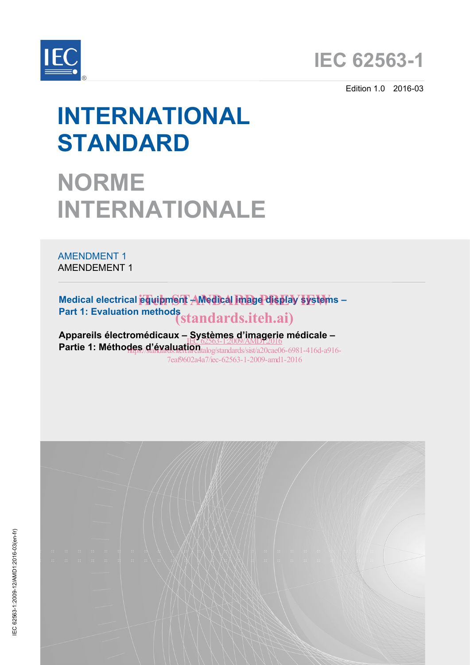



Edition 1.0 2016-03

# **INTERNATIONAL STANDARD**

## **NORME INTERNATIONALE**

AMENDMENT 1 AMENDEMENT 1

Medical electrical equipment *A*Medical image display systems – **Part 1: Evaluation methods** (standards.iteh.ai)

**Appareils électromédicaux – Systèmes d'imagerie médicale – Partie 1: Méthodes d'évaluation** IEC 62563-1:2009/AMD1:2016 https://standards.iteh.ai/catalog/standards/sist/a20cae06-6981-416d-a916- 7eaf9602a4a7/iec-62563-1-2009-amd1-2016

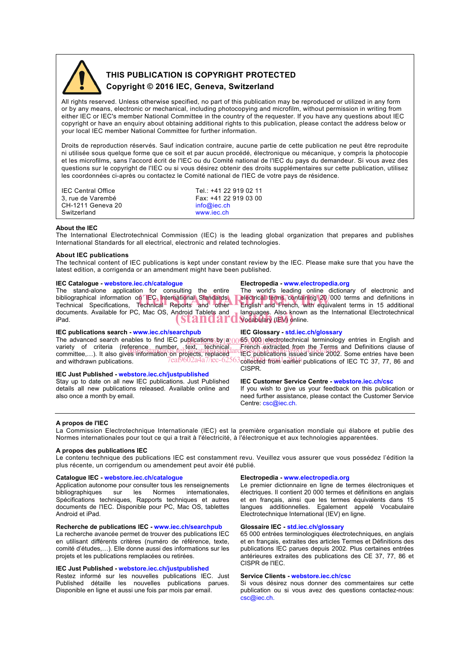

### **THIS PUBLICATION IS COPYRIGHT PROTECTED Copyright © 2016 IEC, Geneva, Switzerland**

All rights reserved. Unless otherwise specified, no part of this publication may be reproduced or utilized in any form or by any means, electronic or mechanical, including photocopying and microfilm, without permission in writing from either IEC or IEC's member National Committee in the country of the requester. If you have any questions about IEC copyright or have an enquiry about obtaining additional rights to this publication, please contact the address below or your local IEC member National Committee for further information.

Droits de reproduction réservés. Sauf indication contraire, aucune partie de cette publication ne peut être reproduite ni utilisée sous quelque forme que ce soit et par aucun procédé, électronique ou mécanique, y compris la photocopie et les microfilms, sans l'accord écrit de l'IEC ou du Comité national de l'IEC du pays du demandeur. Si vous avez des questions sur le copyright de l'IEC ou si vous désirez obtenir des droits supplémentaires sur cette publication, utilisez les coordonnées ci-après ou contactez le Comité national de l'IEC de votre pays de résidence.

| <b>IEC Central Office</b> | Tel.: +41 22 919 02 11 |
|---------------------------|------------------------|
| 3. rue de Varembé         | Fax: +41 22 919 03 00  |
| CH-1211 Geneva 20         | info@iec.ch            |
| Switzerland               | www.jec.ch             |

#### **About the IEC**

The International Electrotechnical Commission (IEC) is the leading global organization that prepares and publishes International Standards for all electrical, electronic and related technologies.

#### **About IEC publications**

The technical content of IEC publications is kept under constant review by the IEC. Please make sure that you have the latest edition, a corrigenda or an amendment might have been published.

#### **IEC Catalogue - webstore.iec.ch/catalogue** The stand-alone application for consulting the entire bibliographical information on IEC International Standards, Technical Specifications, Technical Reports and other documents. Available for PC, Mac OS, Android Tablets and iPad. **IEC publications search - www.iec.ch/searchpub** The advanced search enables to find IEC publications by a 000 electrotechnical terminology entries in English and variety of criteria (reference number, text, technical French extracted from the Terms a<br>committee ) It also gives information on projects registandards is following scaled sinks 2002 committee,…). It also gives information on projects, replaced and withdrawn publications. **Electropedia - www.electropedia.org** The world's leading online dictionary of electronic and electrical terms containing 20/000 terms and definitions in English and French, with equivalent terms in 15 additional languages. Also known as the International Electrotechnical ndroid Tablets and Janguages. Also known<br>**(Standard Vocabulary (IEV)** online. **IEC Glossary - std.iec.ch/glossary** French extracted from the Terms and Definitions clause of IEC publications issued since 2002. Some entries have been Teaf9602a4a7/iec-62563-collected from learlier publications of IEC TC 37, 77, 86 and in TEC International Standards, Pelectrical terms containing 20/000<br>Fechnical Reports and other English and French, with equivale

#### **IEC Just Published - webstore.iec.ch/justpublished**

Stay up to date on all new IEC publications. Just Published details all new publications released. Available online and also once a month by email.

CISPR.

#### **IEC Customer Service Centre - webstore.iec.ch/csc**

If you wish to give us your feedback on this publication or need further assistance, please contact the Customer Service Centre: csc@iec.ch.

#### **A propos de l'IEC**

La Commission Electrotechnique Internationale (IEC) est la première organisation mondiale qui élabore et publie des Normes internationales pour tout ce qui a trait à l'électricité, à l'électronique et aux technologies apparentées.

#### **A propos des publications IEC**

Le contenu technique des publications IEC est constamment revu. Veuillez vous assurer que vous possédez l'édition la plus récente, un corrigendum ou amendement peut avoir été publié.

#### **Catalogue IEC - webstore.iec.ch/catalogue**

Application autonome pour consulter tous les renseignements<br>bibliographiques sur les Normes internationales. bibliographiques Spécifications techniques, Rapports techniques et autres documents de l'IEC. Disponible pour PC, Mac OS, tablettes Android et iPad.

#### **Recherche de publications IEC - www.iec.ch/searchpub**

La recherche avancée permet de trouver des publications IEC en utilisant différents critères (numéro de référence, texte, comité d'études,…). Elle donne aussi des informations sur les projets et les publications remplacées ou retirées.

#### **IEC Just Published - webstore.iec.ch/justpublished**

Restez informé sur les nouvelles publications IEC. Just Published détaille les nouvelles publications parues. Disponible en ligne et aussi une fois par mois par email.

#### **Electropedia - www.electropedia.org**

Le premier dictionnaire en ligne de termes électroniques et électriques. Il contient 20 000 termes et définitions en anglais et en français, ainsi que les termes équivalents dans 15<br>
langues additionnelles. Egalement appelé Vocabulaire langues additionnelles. Egalement appelé Electrotechnique International (IEV) en ligne.

#### **Glossaire IEC - std.iec.ch/glossary**

65 000 entrées terminologiques électrotechniques, en anglais et en français, extraites des articles Termes et Définitions des publications IEC parues depuis 2002. Plus certaines entrées antérieures extraites des publications des CE 37, 77, 86 et CISPR de l'IEC.

#### **Service Clients - webstore.iec.ch/csc**

Si vous désirez nous donner des commentaires sur cette publication ou si vous avez des questions contactez-nous: csc@iec.ch.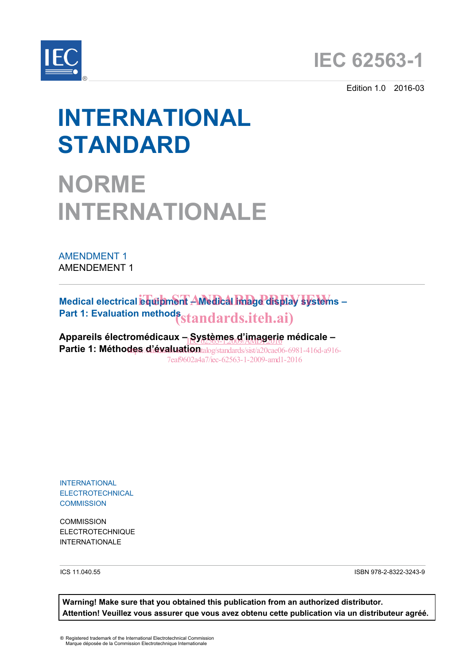



Edition 1.0 2016-03

## **INTERNATIONAL STANDARD**

## **NORME INTERNATIONALE**

AMENDMENT 1 AMENDEMENT 1

**Medical electrical equipment AMedical image display systems -Part 1: Evaluation methods** (standards.iteh.ai)

Appareils électromédicaux –<u>ˌSystèmes d'imageri</u>e médicale – **Partie 1: Méthodes/d/évaluation**talog/standards/sist/a20cae06-6981-416d-a916-7eaf9602a4a7/iec-62563-1-2009-amd1-2016

INTERNATIONAL ELECTROTECHNICAL **COMMISSION** 

**COMMISSION** ELECTROTECHNIQUE INTERNATIONALE

ICS 11.040.55 ISBN 978-2-8322-3243-9

**Warning! Make sure that you obtained this publication from an authorized distributor. Attention! Veuillez vous assurer que vous avez obtenu cette publication via un distributeur agréé.**

® Registered trademark of the International Electrotechnical Commission Marque déposée de la Commission Electrotechnique Internationale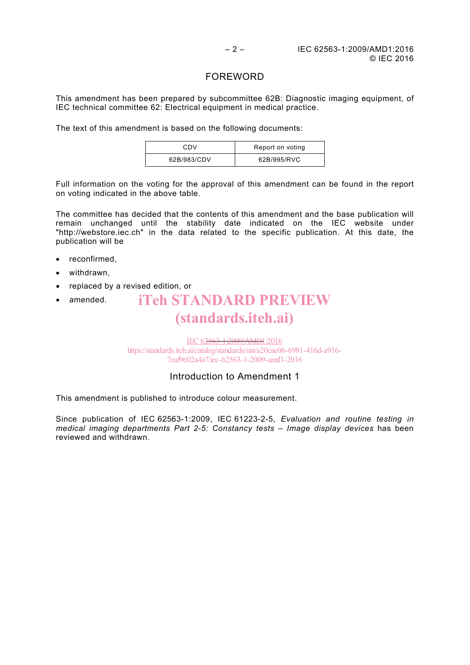#### FOREWORD

This amendment has been prepared by subcommittee 62B: Diagnostic imaging equipment, of IEC technical committee 62: Electrical equipment in medical practice.

The text of this amendment is based on the following documents:

| CDV         | Report on voting |
|-------------|------------------|
| 62B/983/CDV | 62B/995/RVC      |

Full information on the voting for the approval of this amendment can be found in the report on voting indicated in the above table.

The committee has decided that the contents of this amendment and the base publication will remain unchanged until the stability date indicated on the IEC website under "http://webstore.iec.ch" in the data related to the specific publication. At this date, the publication will be

- reconfirmed,
- withdrawn,
- replaced by a revised edition, or
- amended. iTeh STANDARD PREVIEW (standards.iteh.ai)

IEC 62563-1:2009/AMD1:2016 https://standards.iteh.ai/catalog/standards/sist/a20cae06-6981-416d-a916- 7eaf9602a4a7/iec-62563-1-2009-amd1-2016

#### Introduction to Amendment 1

This amendment is published to introduce colour measurement.

Since publication of IEC 62563-1:2009, IEC 61223-2-5, *Evaluation and routine testing in medical imaging departments Part 2-5: Constancy tests – Image display devices* has been reviewed and withdrawn.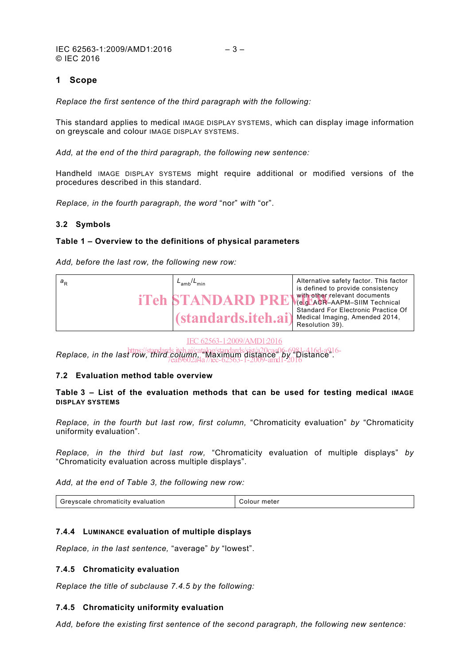IEC 62563-1:2009/AMD1:2016 – 3 – © IEC 2016

#### **1 Scope**

*Replace the first sentence of the third paragraph with the following:*

This standard applies to medical IMAGE DISPLAY SYSTEMS, which can display image information on greyscale and colour IMAGE DISPLAY SYSTEMS.

*Add, at the end of the third paragraph, the following new sentence:*

Handheld IMAGE DISPLAY SYSTEMS might require additional or modified versions of the procedures described in this standard.

*Replace, in the fourth paragraph, the word* "nor" *with* "or".

#### **3.2 Symbols**

#### **Table 1 – Overview to the definitions of physical parameters**

*Add, before the last row, the following new row:* 

| $a_{\rm R}$ | $L_{amb}/L_{min}$                                         | Alternative safety factor. This factor<br>is defined to provide consistency |
|-------------|-----------------------------------------------------------|-----------------------------------------------------------------------------|
|             | <b>iTeh STANDARD PRE VelgLAGR-AAPM-SIIM Technical</b>     |                                                                             |
|             | <b>(standards.iteh.ai)</b> Medical Imaging, Amended 2014, | Standard For Electronic Practice Of<br>Resolution 39).                      |

IEC 62563-1:2009/AMD1:2016

*Replace, in the last row, third column,* "Maximum distance" *by* "Distance". https://standards.iteh.ai/catalog/standards/sist/a20cae06-6981-416d-a916- 7eaf9602a4a7/iec-62563-1-2009-amd1-2016

#### **7.2 Evaluation method table overview**

**Table 3 – List of the evaluation methods that can be used for testing medical IMAGE DISPLAY SYSTEMS**

*Replace, in the fourth but last row, first column,* "Chromaticity evaluation" *by* "Chromaticity uniformity evaluation"*.* 

*Replace, in the third but last row,* "Chromaticity evaluation of multiple displays" *by*  "Chromaticity evaluation across multiple displays".

*Add, at the end of Table 3, the following new row:*

Greyscale chromaticity evaluation Colour meter

#### **7.4.4 LUMINANCE evaluation of multiple displays**

*Replace, in the last sentence,* "average" *by* "lowest".

#### **7.4.5 Chromaticity evaluation**

*Replace the title of subclause 7.4.5 by the following:*

#### **7.4.5 Chromaticity uniformity evaluation**

*Add, before the existing first sentence of the second paragraph, the following new sentence:*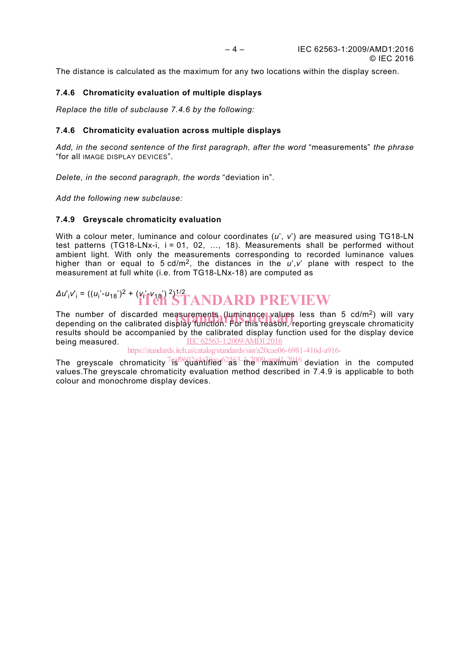The distance is calculated as the maximum for any two locations within the display screen.

#### **7.4.6 Chromaticity evaluation of multiple displays**

*Replace the title of subclause 7.4.6 by the following:*

#### **7.4.6 Chromaticity evaluation across multiple displays**

*Add, in the second sentence of the first paragraph, after the word* "measurements" *the phrase* "for all IMAGE DISPLAY DEVICES".

*Delete, in the second paragraph, the words* "deviation in".

*Add the following new subclause:*

#### **7.4.9 Greyscale chromaticity evaluation**

With a colour meter, luminance and colour coordinates (*u*', *v*') are measured using TG18-LN test patterns (TG18-LNx-i, i = 01, 02, …, 18). Measurements shall be performed without ambient light. With only the measurements corresponding to recorded luminance values higher than or equal to 5 cd/m2, the distances in the *u*',*v*' plane with respect to the measurement at full white (i.e. from TG18-LNx-18) are computed as

### *Δu*'<sub>i</sub>v'<sub>i</sub> = ((*u*<sub>i</sub>'-*u*<sub>18</sub>')<sup>2</sup> + (*v*<sub>i</sub>'-*v*<sub>18</sub>')<sup>2</sup>)<sup>1/2</sup><br>STANDARD PREVIEW

The number of discarded measurements (luminance values less than 5 cd/m<sup>2</sup>) will vary<br>depending on the calibrated display function. For this reason, reporting greyscale chromaticity depending on the calibrated display function. For this reason, reporting greyscale chromaticity results should be accompanied by the calibrated display function used for the display device being measured. IEC 62563-1:2009/AMD1:2016

https://standards.iteh.ai/catalog/standards/sist/a20cae06-6981-416d-a916-

The greyscale chromaticity  $\frac{768}{9}$   $\frac{0.2563}{100}$   $\frac{1}{2}$  in  $\frac{200}{9}$  maximum  $\frac{1}{2}$  deviation in the computed values.The greyscale chromaticity evaluation method described in 7.4.9 is applicable to both colour and monochrome display devices.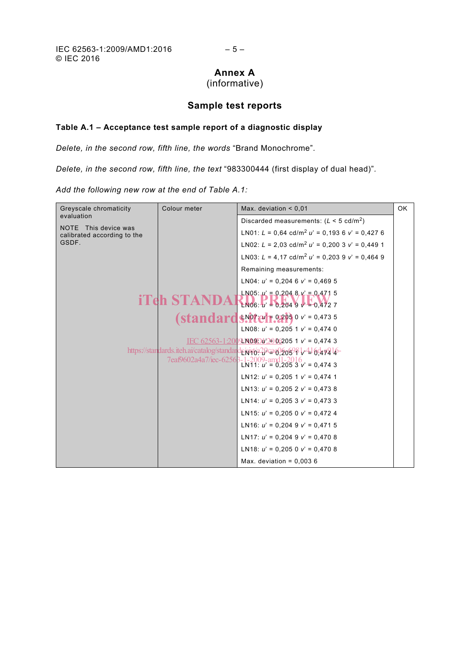#### **Annex A**

### (informative)

#### **Sample test reports**

#### **Table A.1 – Acceptance test sample report of a diagnostic display**

*Delete, in the second row, fifth line, the words* "Brand Monochrome"*.* 

*Delete, in the second row, fifth line, the text* "983300444 (first display of dual head)"*.* 

*Add the following new row at the end of Table A.1:*

| Greyscale chromaticity                                                   | Colour meter | Max. deviation $< 0.01$                                                                    | <b>OK</b> |
|--------------------------------------------------------------------------|--------------|--------------------------------------------------------------------------------------------|-----------|
| evaluation                                                               |              | Discarded measurements: $(L < 5 \text{ cd/m}^2)$                                           |           |
| NOTE This device was<br>calibrated according to the                      |              | LN01: $L = 0.64$ cd/m <sup>2</sup> u' = 0.193 6 v' = 0.427 6                               |           |
| GSDF.                                                                    |              | LN02: L = 2,03 cd/m <sup>2</sup> u' = 0,200 3 v' = 0,449 1                                 |           |
|                                                                          |              | LN03: L = 4,17 cd/m <sup>2</sup> u' = 0,203 9 v' = 0,464 9                                 |           |
|                                                                          |              | Remaining measurements:                                                                    |           |
|                                                                          |              | LN04: $u' = 0,204$ 6 $v' = 0,469$ 5                                                        |           |
|                                                                          | iTeh STANDA  | LN05: $u' = 0.204$ 8 $v' = 0.471$ 5<br>$106: u' = 0,2049 v = 0,4727$                       |           |
|                                                                          |              | $(standard$ standard shifted 3.9209 0 v' = 0,473 5                                         |           |
|                                                                          |              | LN08: $u' = 0,205$ 1 $v' = 0,474$ 0                                                        |           |
| https://standards.iteh.ai/catalog/standard6/0i56229ca09506981-416947216- |              | IEC 62563-1:2009/N09Du:2006205 1 v' = 0,474 3                                              |           |
|                                                                          |              | 7eaf9602a4a7/iec-62563-1-2009-amd1-2016<br>LN11: <i>u</i> ' = 0,205 3 <i>v</i> ' = 0,474 3 |           |
|                                                                          |              | LN12: $u' = 0,205$ 1 $v' = 0,474$ 1                                                        |           |
|                                                                          |              | LN13: $u' = 0,205$ 2 $v' = 0,473$ 8                                                        |           |
|                                                                          |              | LN14: $u' = 0.2053$ v' = 0.473 3                                                           |           |
|                                                                          |              | LN15: $u' = 0,205$ 0 $v' = 0,472$ 4                                                        |           |
|                                                                          |              | LN16: $u' = 0.204$ 9 $v' = 0.471$ 5                                                        |           |
|                                                                          |              | LN17: $u' = 0,204$ 9 $v' = 0,470$ 8                                                        |           |
|                                                                          |              | LN18: $u' = 0.2050v' = 0.4708$                                                             |           |
|                                                                          |              | Max. deviation = $0,0036$                                                                  |           |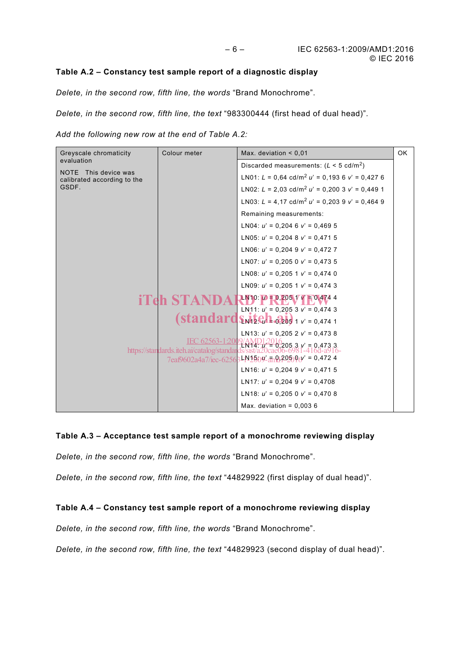#### **Table A.2 – Constancy test sample report of a diagnostic display**

*Delete, in the second row, fifth line, the words* "Brand Monochrome".

*Delete, in the second row, fifth line, the text* "983300444 (first head of dual head)"*.* 

*Add the following new row at the end of Table A.2:*

| Colour meter<br>Greyscale chromaticity                            |                                           | Max. deviation $< 0.01$                                    | <b>OK</b> |
|-------------------------------------------------------------------|-------------------------------------------|------------------------------------------------------------|-----------|
| evaluation<br>NOTE This device was<br>calibrated according to the |                                           | Discarded measurements: $(L < 5 \text{ cd/m}^2)$           |           |
|                                                                   |                                           | LN01: L = 0,64 cd/m <sup>2</sup> u' = 0,193 6 v' = 0,427 6 |           |
| GSDF.                                                             |                                           | LN02: L = 2,03 cd/m <sup>2</sup> u' = 0,200 3 v' = 0,449 1 |           |
|                                                                   |                                           | LN03: L = 4,17 cd/m <sup>2</sup> u' = 0,203 9 v' = 0,464 9 |           |
|                                                                   |                                           | Remaining measurements:                                    |           |
|                                                                   |                                           | LN04: $u' = 0,204$ 6 $v' = 0,469$ 5                        |           |
|                                                                   |                                           | LN05: $u' = 0,204$ 8 $v' = 0,471$ 5                        |           |
|                                                                   |                                           | LN06: $u' = 0,204$ 9 $v' = 0,472$ 7                        |           |
|                                                                   |                                           | LN07: $u' = 0,205$ 0 $v' = 0,473$ 5                        |           |
|                                                                   |                                           | LN08: $u' = 0,205$ 1 $v' = 0,474$ 0                        |           |
|                                                                   |                                           | LN09: $u' = 0,205$ 1 $v' = 0,474$ 3                        |           |
|                                                                   | <b>iTeh STAND</b>                         | LN10: $U = 0,205$ $VV = 0,474$ 4                           |           |
|                                                                   |                                           | LN11: $u' = 0,2053v' = 0,4743$                             |           |
|                                                                   | <b>(standard</b>                          | $\Sigma_{N12}$ $\Omega_{11}$ $\Omega_{205}$ 1 v = 0,474 1  |           |
|                                                                   | IEC 62563-1:200                           | LN13: $u' = 0,205$ 2 $v' = 0,473$ 8                        |           |
|                                                                   | https://standards.iteh.ai/catalog/standar | $LN14: u' = 0.205.3$ $v' = 0.473.3$                        |           |
|                                                                   |                                           | 7eaf9602a4a7/iec-62563-N12509-an0129500ey' = 0,472 4       |           |
|                                                                   |                                           | LN16: $u' = 0,204$ 9 $v' = 0,471$ 5                        |           |
|                                                                   |                                           | LN17: $u' = 0,204$ 9 $v' = 0,4708$                         |           |
|                                                                   |                                           | LN18: $u' = 0,2050v' = 0,4708$                             |           |
|                                                                   |                                           | Max. deviation = $0.0036$                                  |           |

#### **Table A.3 – Acceptance test sample report of a monochrome reviewing display**

*Delete, in the second row, fifth line, the words* "Brand Monochrome".

*Delete, in the second row, fifth line, the text* "44829922 (first display of dual head)".

#### **Table A.4 – Constancy test sample report of a monochrome reviewing display**

*Delete, in the second row, fifth line, the words* "Brand Monochrome".

*Delete, in the second row, fifth line, the text* "44829923 (second display of dual head)".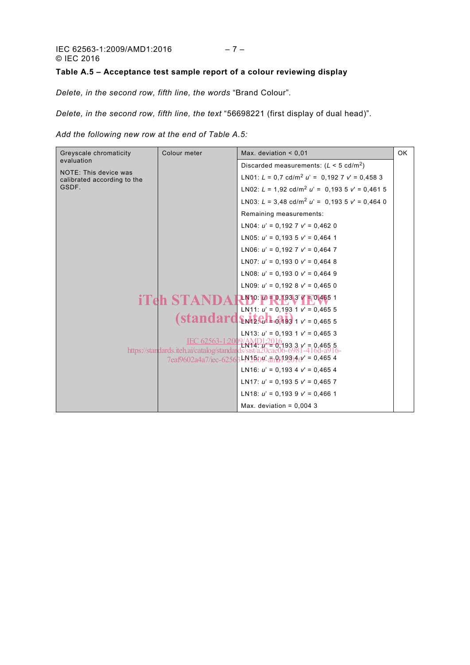#### **Table A.5 – Acceptance test sample report of a colour reviewing display**

*Delete, in the second row, fifth line, the words* "Brand Colour"*.* 

*Delete, in the second row, fifth line, the text* "56698221 (first display of dual head)"*.* 

*Add the following new row at the end of Table A.5:*

| Greyscale chromaticity<br>evaluation<br>NOTE: This device was<br>calibrated according to the | Colour meter                            | Max. deviation $< 0.01$                                                                                                                                                                                                                                                                                               | <b>OK</b> |
|----------------------------------------------------------------------------------------------|-----------------------------------------|-----------------------------------------------------------------------------------------------------------------------------------------------------------------------------------------------------------------------------------------------------------------------------------------------------------------------|-----------|
|                                                                                              |                                         | Discarded measurements: $(L < 5 \text{ cd/m}^2)$                                                                                                                                                                                                                                                                      |           |
|                                                                                              |                                         | LN01: $L = 0.7$ cd/m <sup>2</sup> u' = 0.192 7 v' = 0.458 3                                                                                                                                                                                                                                                           |           |
| GSDF.                                                                                        |                                         | LN02: L = 1,92 cd/m <sup>2</sup> u' = 0,193 5 v' = 0,461 5                                                                                                                                                                                                                                                            |           |
|                                                                                              |                                         | LN03: L = 3,48 cd/m <sup>2</sup> u' = 0,193 5 v' = 0,464 0                                                                                                                                                                                                                                                            |           |
|                                                                                              |                                         | Remaining measurements:                                                                                                                                                                                                                                                                                               |           |
|                                                                                              |                                         | LN04: $u' = 0.1927v' = 0.4620$                                                                                                                                                                                                                                                                                        |           |
|                                                                                              |                                         | LN05: $u' = 0.1935v' = 0.4641$                                                                                                                                                                                                                                                                                        |           |
|                                                                                              |                                         | LN06: $u' = 0.1927$ $v' = 0.4647$                                                                                                                                                                                                                                                                                     |           |
|                                                                                              |                                         | LN07: $u' = 0.193$ 0 $v' = 0.464$ 8                                                                                                                                                                                                                                                                                   |           |
|                                                                                              |                                         | LN08: $u' = 0.193$ 0 $v' = 0.464$ 9                                                                                                                                                                                                                                                                                   |           |
|                                                                                              |                                         | LN09: $u' = 0.1928$ $v' = 0.4650$                                                                                                                                                                                                                                                                                     |           |
|                                                                                              | <b>iTeh STAN</b>                        | LN10: $u' = 0.1933 \times 10.4651$                                                                                                                                                                                                                                                                                    |           |
|                                                                                              |                                         | LN11: $u' = 0,1931v' = 0,4655$                                                                                                                                                                                                                                                                                        |           |
|                                                                                              | <b>(standard</b>                        | $2N12$ $\frac{1}{4}$ $\frac{1}{2}$ $\frac{1}{2}$ $\frac{1}{2}$ $\frac{1}{2}$ $\frac{1}{2}$ $\frac{1}{2}$ $\frac{1}{2}$ $\frac{1}{2}$ $\frac{1}{2}$ $\frac{1}{2}$ $\frac{1}{2}$ $\frac{1}{2}$ $\frac{1}{2}$ $\frac{1}{2}$ $\frac{1}{2}$ $\frac{1}{2}$ $\frac{1}{2}$ $\frac{1}{2}$ $\frac{1}{2}$ $\frac{1}{2}$ $\frac{$ |           |
|                                                                                              |                                         | LN13: $u' = 0.193$ 1 $v' = 0.465$ 3                                                                                                                                                                                                                                                                                   |           |
| IEC 62563-1:200<br>https://standards.iteh.ai/catalog/standar                                 | LN14. $\vec{u}' = 0.193.3$ v' = 0.465.5 |                                                                                                                                                                                                                                                                                                                       |           |
|                                                                                              |                                         | $7ea$ 9602a4a7/iec-62563-N25609-an019304 $\alpha$ ' = 0.4654                                                                                                                                                                                                                                                          |           |
|                                                                                              |                                         | LN16: $u' = 0.1934v' = 0.4654$                                                                                                                                                                                                                                                                                        |           |
|                                                                                              |                                         | LN17: $u' = 0,1935v' = 0,4657$                                                                                                                                                                                                                                                                                        |           |
|                                                                                              |                                         | LN18: $u' = 0.193$ 9 $v' = 0.466$ 1                                                                                                                                                                                                                                                                                   |           |
|                                                                                              |                                         | Max. deviation = $0,004$ 3                                                                                                                                                                                                                                                                                            |           |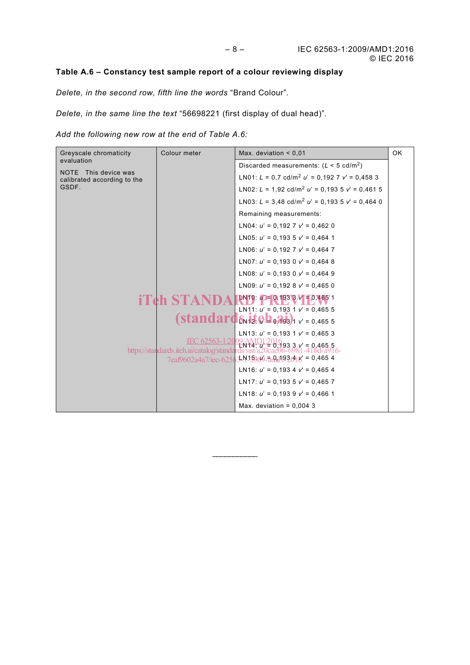#### **Table A.6 – Constancy test sample report of a colour reviewing display**

*Delete, in the second row, fifth line the words* "Brand Colour"*.* 

*Delete, in the same line the text* "56698221 (first display of dual head)"*.* 

*Add the following new row at the end of Table A.6:*

| Greyscale chromaticity                                            | Colour meter                             | Max. deviation $< 0.01$                                                                                                                                           | <b>OK</b> |
|-------------------------------------------------------------------|------------------------------------------|-------------------------------------------------------------------------------------------------------------------------------------------------------------------|-----------|
| evaluation<br>NOTE This device was<br>calibrated according to the |                                          | Discarded measurements: $(L < 5 \text{ cd/m}^2)$                                                                                                                  |           |
|                                                                   |                                          | LN01: $L = 0.7$ cd/m <sup>2</sup> u' = 0.192 7 v' = 0.458 3                                                                                                       |           |
| GSDF.                                                             |                                          | LN02: L = 1,92 cd/m <sup>2</sup> u' = 0,193 5 v' = 0,461 5                                                                                                        |           |
|                                                                   |                                          | LN03: L = 3,48 cd/m <sup>2</sup> u' = 0,193 5 v' = 0,464 0                                                                                                        |           |
|                                                                   |                                          | Remaining measurements:                                                                                                                                           |           |
|                                                                   |                                          | LN04: $u' = 0.1927v' = 0.4620$                                                                                                                                    |           |
|                                                                   |                                          | LN05: $u' = 0.1935v' = 0.4641$                                                                                                                                    |           |
|                                                                   |                                          | LN06: $u' = 0,1927v' = 0,4647$                                                                                                                                    |           |
|                                                                   |                                          | LN07: $u' = 0,193$ 0 $v' = 0,464$ 8                                                                                                                               |           |
|                                                                   |                                          | LN08: $u' = 0.193$ 0 $v' = 0.464$ 9                                                                                                                               |           |
|                                                                   |                                          | LN09: $u' = 0,1928v' = 0,4650$                                                                                                                                    |           |
|                                                                   | <b>iTeh STANL</b>                        | $DN10: u = 0,193.3 / v = 0,465/1$                                                                                                                                 |           |
|                                                                   |                                          | LN11: $u' = 0.193$ 1 $v' = 0.465$ 5                                                                                                                               |           |
|                                                                   | <b>(standard</b>                         | $\mathbf{E} \mathbf{W} \mathbf{1} \mathbf{I} \mathbf{F} \mathbf{G} \mathbf{I} \mathbf{0}$ $\mathbf{H} \mathbf{0} \mathbf{A} \mathbf{S} \mathbf{S}$ 1 v' = 0,465 5 |           |
|                                                                   | IEC 62563-1:20                           | LN13: $u' = 0,193$ 1 $v' = 0,465$ 3                                                                                                                               |           |
|                                                                   | https://standards.iteh.ai/catalog/standa | $UN14: u = 0.193.3 v = 0.465.5$                                                                                                                                   |           |
|                                                                   |                                          | $7ea9602a4a7/iec-62563-N12009-77207-7877N$                                                                                                                        |           |
|                                                                   |                                          | LN16: $u' = 0.1934$ v' = 0.4654                                                                                                                                   |           |
|                                                                   |                                          | LN17: $u' = 0,1935v' = 0,4657$                                                                                                                                    |           |
|                                                                   |                                          | LN18: $u' = 0.193$ 9 $v' = 0.466$ 1                                                                                                                               |           |
|                                                                   |                                          | Max. deviation = $0,004$ 3                                                                                                                                        |           |

 $\overline{\phantom{a}}$